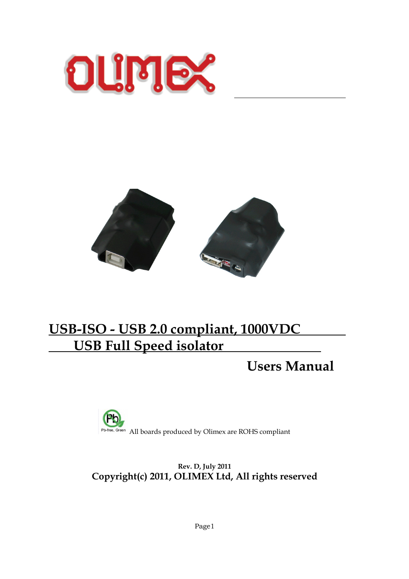



 $\overline{a}$ 

# **USB-ISO - USB 2.0 compliant, 1000VDC USB Full Speed isolator**

**Users Manual**



**Rev. D, July 2011 Copyright(c) 2011, OLIMEX Ltd, All rights reserved**

Page1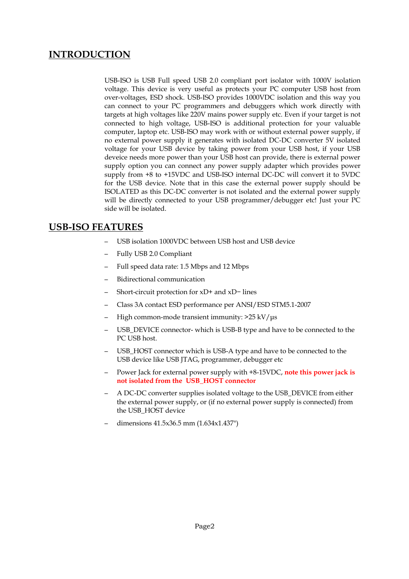### **INTRODUCTION**

USB-ISO is USB Full speed USB 2.0 compliant port isolator with 1000V isolation voltage. This device is very useful as protects your PC computer USB host from over-voltages, ESD shock. USB-ISO provides 1000VDC isolation and this way you can connect to your PC programmers and debuggers which work directly with targets at high voltages like 220V mains power supply etc. Even if your target is not connected to high voltage, USB-ISO is additional protection for your valuable computer, laptop etc. USB-ISO may work with or without external power supply, if no external power supply it generates with isolated DC-DC converter 5V isolated voltage for your USB device by taking power from your USB host, if your USB deveice needs more power than your USB host can provide, there is external power supply option you can connect any power supply adapter which provides power supply from +8 to +15VDC and USB-ISO internal DC-DC will convert it to 5VDC for the USB device. Note that in this case the external power supply should be ISOLATED as this DC-DC converter is not isolated and the external power supply will be directly connected to your USB programmer/debugger etc! Just your PC side will be isolated.

#### **USB-ISO FEATURES**

- USB isolation 1000VDC between USB host and USB device
- Fully USB 2.0 Compliant
- Full speed data rate: 1.5 Mbps and 12 Mbps
- Bidirectional communication
- Short-circuit protection for xD+ and xD− lines
- Class 3A contact ESD performance per ANSI/ESD STM5.1-2007
- High common-mode transient immunity: >25 kV/μs
- USB\_DEVICE connector- which is USB-B type and have to be connected to the PC USB host.
- USB\_HOST connector which is USB-A type and have to be connected to the USB device like USB JTAG, programmer, debugger etc
- Power Jack for external power supply with +8-15VDC, **note this power jack is not isolated from the USB\_HOST connector**
- A DC-DC converter supplies isolated voltage to the USB\_DEVICE from either the external power supply, or (if no external power supply is connected) from the USB\_HOST device
- dimensions 41.5x36.5 mm (1.634x1.437")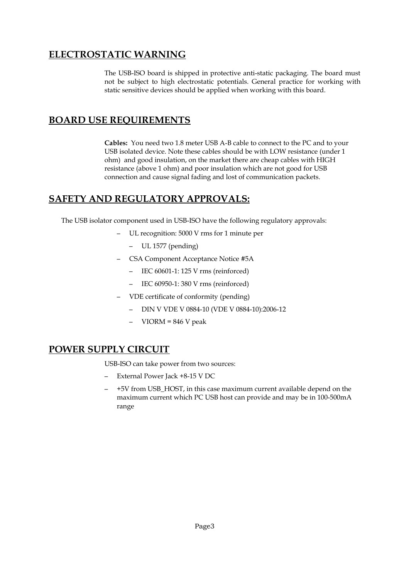### **ELECTROSTATIC WARNING**

The USB-ISO board is shipped in protective anti-static packaging. The board must not be subject to high electrostatic potentials. General practice for working with static sensitive devices should be applied when working with this board.

### **BOARD USE REQUIREMENTS**

**Cables:** You need two 1.8 meter USB A-B cable to connect to the PC and to your USB isolated device. Note these cables should be with LOW resistance (under 1 ohm) and good insulation, on the market there are cheap cables with HIGH resistance (above 1 ohm) and poor insulation which are not good for USB connection and cause signal fading and lost of communication packets.

#### **SAFETY AND REGULATORY APPROVALS:**

The USB isolator component used in USB-ISO have the following regulatory approvals:

- UL recognition: 5000 V rms for 1 minute per
	- UL 1577 (pending)
- CSA Component Acceptance Notice #5A
	- IEC 60601-1: 125 V rms (reinforced)
	- IEC 60950-1: 380 V rms (reinforced)
- VDE certificate of conformity (pending)
	- DIN V VDE V 0884-10 (VDE V 0884-10):2006-12
	- $VIORM = 846 V peak$

#### **POWER SUPPLY CIRCUIT**

USB-ISO can take power from two sources:

- External Power Jack +8-15 V DC
- +5V from USB\_HOST, in this case maximum current available depend on the maximum current which PC USB host can provide and may be in 100-500mA range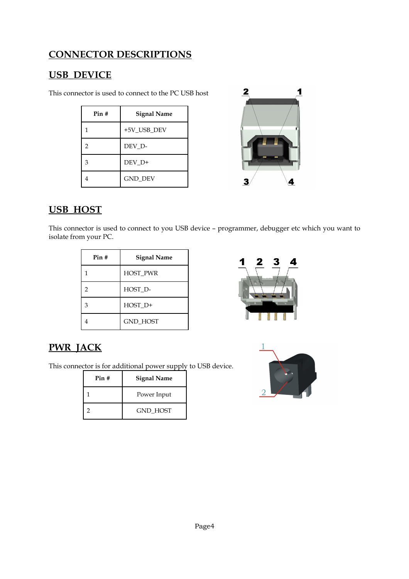# **CONNECTOR DESCRIPTIONS**

# **USB\_DEVICE**

This connector is used to connect to the PC USB host

| Pin# | <b>Signal Name</b> |
|------|--------------------|
| 1    | +5V_USB_DEV        |
| 2    | DEV D-             |
| 3    | DEV D+             |
| 4    | <b>GND_DEV</b>     |



# **USB\_HOST**

This connector is used to connect to you USB device – programmer, debugger etc which you want to isolate from your PC.

| Pin# | <b>Signal Name</b> |
|------|--------------------|
| 1    | <b>HOST PWR</b>    |
| 2    | HOST D-            |
| 3    | HOST_D+            |
|      | <b>GND HOST</b>    |



# **PWR\_JACK**

This connector is for additional power supply to USB device.

| Pin# | Signal Name     |
|------|-----------------|
|      | Power Input     |
|      | <b>GND HOST</b> |

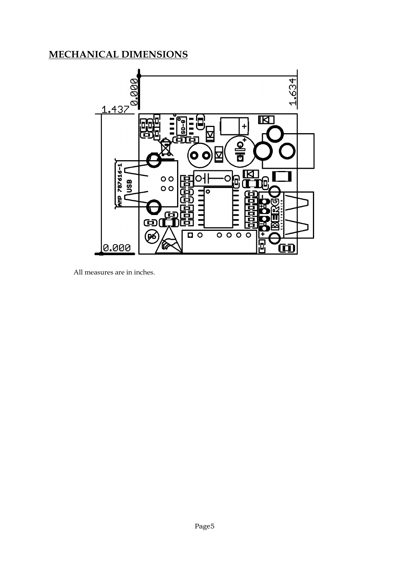# **MECHANICAL DIMENSIONS**



All measures are in inches.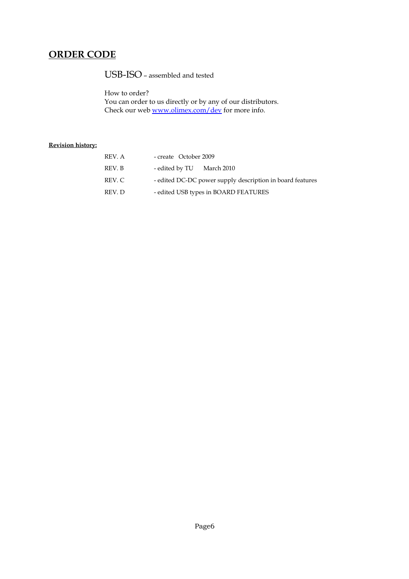## **ORDER CODE**

USB-ISO – assembled and tested

How to order? You can order to us directly or by any of our distributors. Check our web <u>www.olimex.com/dev</u> for more info.

#### **Revision history:**

| REV. A | - create October 2009                                     |
|--------|-----------------------------------------------------------|
| REV. B | - edited by TU March 2010                                 |
| REV. C | - edited DC-DC power supply description in board features |
| REV. D | - edited USB types in BOARD FEATURES                      |
|        |                                                           |